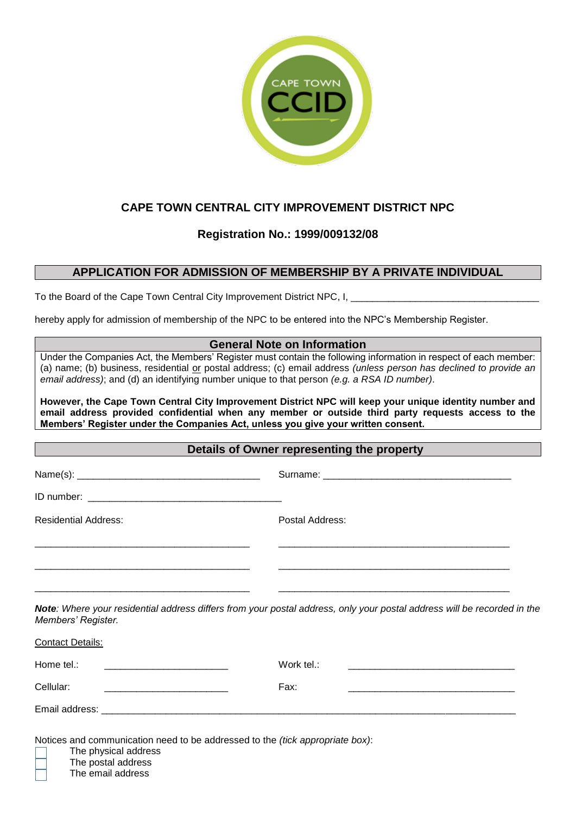

# **CAPE TOWN CENTRAL CITY IMPROVEMENT DISTRICT NPC**

## **Registration No.: 1999/009132/08**

### **APPLICATION FOR ADMISSION OF MEMBERSHIP BY A PRIVATE INDIVIDUAL**

To the Board of the Cape Town Central City Improvement District NPC, I, \_\_\_\_\_\_\_\_\_\_\_\_\_\_\_

hereby apply for admission of membership of the NPC to be entered into the NPC's Membership Register.

### **General Note on Information**

Under the Companies Act, the Members' Register must contain the following information in respect of each member: (a) name; (b) business, residential or postal address; (c) email address *(unless person has declined to provide an email address)*; and (d) an identifying number unique to that person *(e.g. a RSA ID number)*.

**However, the Cape Town Central City Improvement District NPC will keep your unique identity number and email address provided confidential when any member or outside third party requests access to the Members' Register under the Companies Act, unless you give your written consent.**

#### **Details of Owner representing the property and the set of Owner representing the property**

Name(s): \_\_\_\_\_\_\_\_\_\_\_\_\_\_\_\_\_\_\_\_\_\_\_\_\_\_\_\_\_\_\_\_\_\_ Surname: \_\_\_\_\_\_\_\_\_\_\_\_\_\_\_\_\_\_\_\_\_\_\_\_\_\_\_\_\_\_\_\_\_\_\_

ID number:

Residential Address: Postal Address:

*Note: Where your residential address differs from your postal address, only your postal address will be recorded in the Members' Register.*

\_\_\_\_\_\_\_\_\_\_\_\_\_\_\_\_\_\_\_\_\_\_\_\_\_\_\_\_\_\_\_\_\_\_\_\_\_\_\_\_ \_\_\_\_\_\_\_\_\_\_\_\_\_\_\_\_\_\_\_\_\_\_\_\_\_\_\_\_\_\_\_\_\_\_\_\_\_\_\_\_\_\_\_

\_\_\_\_\_\_\_\_\_\_\_\_\_\_\_\_\_\_\_\_\_\_\_\_\_\_\_\_\_\_\_\_\_\_\_\_\_\_\_\_ \_\_\_\_\_\_\_\_\_\_\_\_\_\_\_\_\_\_\_\_\_\_\_\_\_\_\_\_\_\_\_\_\_\_\_\_\_\_\_\_\_\_\_

\_\_\_\_\_\_\_\_\_\_\_\_\_\_\_\_\_\_\_\_\_\_\_\_\_\_\_\_\_\_\_\_\_\_\_\_\_\_\_\_ \_\_\_\_\_\_\_\_\_\_\_\_\_\_\_\_\_\_\_\_\_\_\_\_\_\_\_\_\_\_\_\_\_\_\_\_\_\_\_\_\_\_\_

| <b>Contact Details:</b> |            |
|-------------------------|------------|
| Home tel.:              | Work tel.: |
| Cellular:               | Fax:       |
|                         |            |

Notices and communication need to be addressed to the *(tick appropriate box)*:

The physical address

- The postal address
- The email address